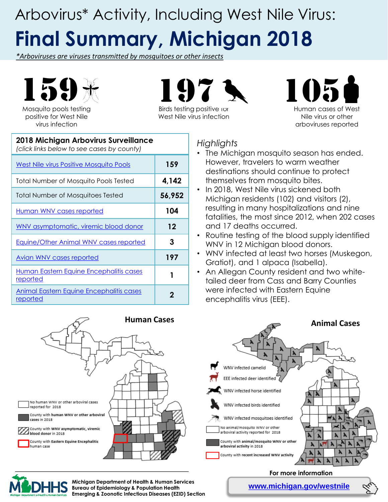## Arbovirus\* Activity, Including West Nile Virus: **Final Summary, Michigan 2018**

*\*Arboviruses are viruses transmitted by mosquitoes or other insects*



Mosquito pools testing positive for West Nile virus infection

Birds testing positive for

West Nile virus infection

Human cases of West Nile virus or other arboviruses reported

15T

| 2018 Michigan Arbovirus Surveillance<br>(click links below to see cases by county) |        |
|------------------------------------------------------------------------------------|--------|
| West Nile virus Positive Mosquito Pools                                            | 159    |
| Total Number of Mosquito Pools Tested                                              | 4,142  |
| <b>Total Number of Mosquitoes Tested</b>                                           | 56,952 |
| Human WNV cases reported                                                           | 104    |
| WNV asymptomatic, viremic blood donor                                              | 12     |
| <b>Equine/Other Animal WNV cases reported</b>                                      | 3      |
| Avian WNV cases reported                                                           | 197    |
| Human Eastern Equine Encephalitis cases<br><u>reported</u>                         |        |
| <b>Animal Eastern Equine Encephalitis cases</b><br><u>reported</u>                 | 2      |

#### *Highlights*

- The Michigan mosquito season has ended. However, travelers to warm weather destinations should continue to protect themselves from mosquito bites.
- In 2018, West Nile virus sickened both Michigan residents (102) and visitors (2), resulting in many hospitalizations and nine fatalities, the most since 2012, when 202 cases and 17 deaths occurred.
- Routine testing of the blood supply identified WNV in 12 Michigan blood donors.
- WNV infected at least two horses (Muskegon, Gratiot), and 1 alpaca (Isabella).
- An Allegan County resident and two whitetailed deer from Cass and Barry Counties were infected with Eastern Equine encephalitis virus (EEE).





Michigan Department of Health & Human Services<br>**Bureau of Foidemiology & Population Health Bureau of Epidemiology & Population Health Emerging & Zoonotic Infectious Diseases (EZID) Section**